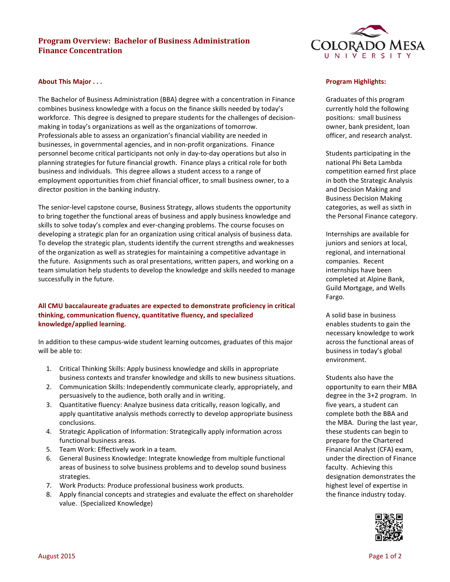# **Program Overview: Bachelor of Business Administration Finance Concentration**



#### **About This Major . . .**

The Bachelor of Business Administration (BBA) degree with a concentration in Finance combines business knowledge with a focus on the finance skills needed by today's workforce. This degree is designed to prepare students for the challenges of decisionmaking in today's organizations as well as the organizations of tomorrow. Professionals able to assess an organization's financial viability are needed in businesses, in governmental agencies, and in non-profit organizations. Finance personnel become critical participants not only in day-to-day operations but also in planning strategies for future financial growth. Finance plays a critical role for both business and individuals. This degree allows a student access to a range of employment opportunities from chief financial officer, to small business owner, to a director position in the banking industry.

The senior-level capstone course, Business Strategy, allows students the opportunity to bring together the functional areas of business and apply business knowledge and skills to solve today's complex and ever-changing problems. The course focuses on developing a strategic plan for an organization using critical analysis of business data. To develop the strategic plan, students identify the current strengths and weaknesses of the organization as well as strategies for maintaining a competitive advantage in the future. Assignments such as oral presentations, written papers, and working on a team simulation help students to develop the knowledge and skills needed to manage successfully in the future.

# **All CMU baccalaureate graduates are expected to demonstrate proficiency in critical thinking, communication fluency, quantitative fluency, and specialized knowledge/applied learning.**

In addition to these campus-wide student learning outcomes, graduates of this major will be able to:

- 1. Critical Thinking Skills: Apply business knowledge and skills in appropriate business contexts and transfer knowledge and skills to new business situations.
- 2. Communication Skills: Independently communicate clearly, appropriately, and persuasively to the audience, both orally and in writing.
- 3. Quantitative fluency: Analyze business data critically, reason logically, and apply quantitative analysis methods correctly to develop appropriate business conclusions.
- 4. Strategic Application of Information: Strategically apply information across functional business areas.
- 5. Team Work: Effectively work in a team.
- 6. General Business Knowledge: Integrate knowledge from multiple functional areas of business to solve business problems and to develop sound business strategies.
- 7. Work Products: Produce professional business work products.
- 8. Apply financial concepts and strategies and evaluate the effect on shareholder value. (Specialized Knowledge)

#### **Program Highlights:**

Graduates of this program currently hold the following positions: small business owner, bank president, loan officer, and research analyst.

Students participating in the national Phi Beta Lambda competition earned first place in both the Strategic Analysis and Decision Making and Business Decision Making categories, as well as sixth in the Personal Finance category.

Internships are available for juniors and seniors at local, regional, and international companies. Recent internships have been completed at Alpine Bank, Guild Mortgage, and Wells Fargo.

A solid base in business enables students to gain the necessary knowledge to work across the functional areas of business in today's global environment.

Students also have the opportunity to earn their MBA degree in the 3+2 program. In five years, a student can complete both the BBA and the MBA. During the last year, these students can begin to prepare for the Chartered Financial Analyst (CFA) exam, under the direction of Finance faculty. Achieving this designation demonstrates the highest level of expertise in the finance industry today.